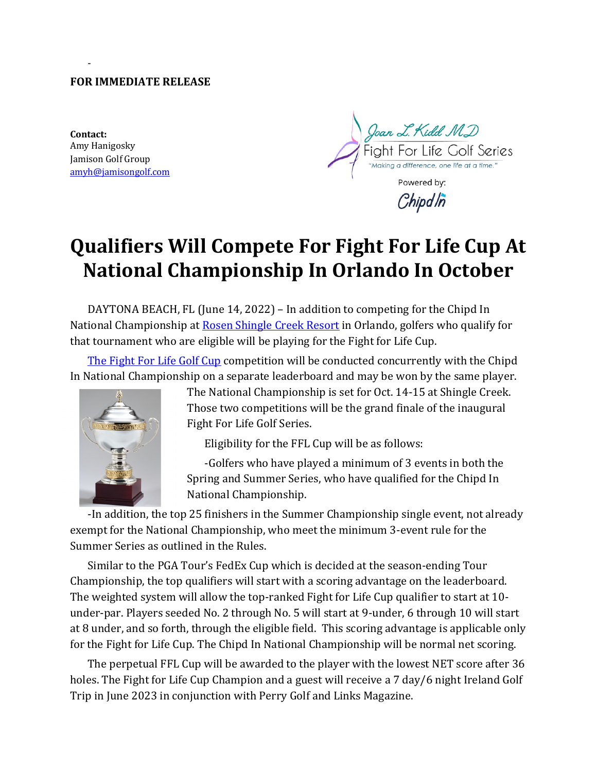#### **FOR IMMEDIATE RELEASE**

**Contact:** Amy Hanigosky Jamison Golf Group amyh@jamisongolf.com

-

)oan L. Kidd M.D ight For Life Golf Series "Making a difference, one life at a time." Powered by: Chipdln

# **Qualifiers Will Compete For Fight For Life Cup At National Championship In Orlando In October**

DAYTONA BEACH, FL (June 14, 2022) – In addition to competing for the Chipd In National Championship at Rosen Shingle Creek Resort in Orlando, golfers who qualify for that tournament who are eligible will be playing for the Fight for Life Cup.

The Fight For Life Golf Cup competition will be conducted concurrently with the Chipd In National Championship on a separate leaderboard and may be won by the same player.



The National Championship is set for Oct. 14-15 at Shingle Creek. Those two competitions will be the grand finale of the inaugural Fight For Life Golf Series.

Eligibility for the FFL Cup will be as follows:

-Golfers who have played a minimum of 3 events in both the Spring and Summer Series, who have qualified for the Chipd In National Championship.

-In addition, the top 25 finishers in the Summer Championship single event, not already exempt for the National Championship, who meet the minimum 3-event rule for the Summer Series as outlined in the Rules.

Similar to the PGA Tour's FedEx Cup which is decided at the season-ending Tour Championship, the top qualifiers will start with a scoring advantage on the leaderboard. The weighted system will allow the top-ranked Fight for Life Cup qualifier to start at 10under-par. Players seeded No. 2 through No. 5 will start at 9-under, 6 through 10 will start at 8 under, and so forth, through the eligible field. This scoring advantage is applicable only for the Fight for Life Cup. The Chipd In National Championship will be normal net scoring.

The perpetual FFL Cup will be awarded to the player with the lowest NET score after 36 holes. The Fight for Life Cup Champion and a guest will receive a 7 day/6 night Ireland Golf Trip in June 2023 in conjunction with Perry Golf and Links Magazine.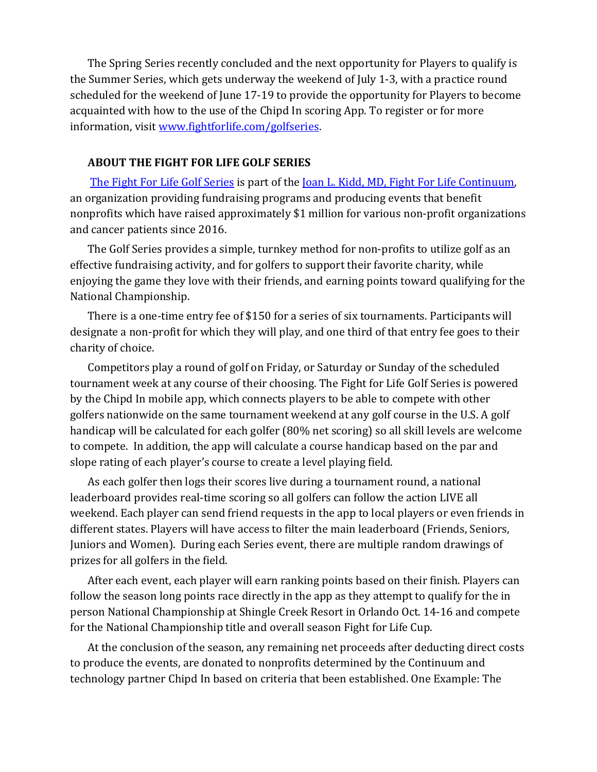The Spring Series recently concluded and the next opportunity for Players to qualify is the Summer Series, which gets underway the weekend of July 1-3, with a practice round scheduled for the weekend of June 17-19 to provide the opportunity for Players to become acquainted with how to the use of the Chipd In scoring App. To register or for more information, visit www.fightforlife.com/golfseries.

## **ABOUT THE FIGHT FOR LIFE GOLF SERIES**

The Fight For Life Golf Series is part of the <u>Joan L. Kidd, MD, Fight For Life Continuum</u>, an organization providing fundraising programs and producing events that benefit nonprofits which have raised approximately \$1 million for various non-profit organizations and cancer patients since 2016.

The Golf Series provides a simple, turnkey method for non-profits to utilize golf as an effective fundraising activity, and for golfers to support their favorite charity, while enjoving the game they love with their friends, and earning points toward qualifying for the National Championship.

There is a one-time entry fee of \$150 for a series of six tournaments. Participants will designate a non-profit for which they will play, and one third of that entry fee goes to their charity of choice.

Competitors play a round of golf on Friday, or Saturday or Sunday of the scheduled tournament week at any course of their choosing. The Fight for Life Golf Series is powered by the Chipd In mobile app, which connects players to be able to compete with other golfers nationwide on the same tournament weekend at any golf course in the U.S. A golf handicap will be calculated for each golfer (80% net scoring) so all skill levels are welcome to compete. In addition, the app will calculate a course handicap based on the par and slope rating of each player's course to create a level playing field.

As each golfer then logs their scores live during a tournament round, a national leaderboard provides real-time scoring so all golfers can follow the action LIVE all weekend. Each player can send friend requests in the app to local players or even friends in different states. Players will have access to filter the main leaderboard (Friends, Seniors, Juniors and Women). During each Series event, there are multiple random drawings of prizes for all golfers in the field.

After each event, each player will earn ranking points based on their finish. Players can follow the season long points race directly in the app as they attempt to qualify for the in person National Championship at Shingle Creek Resort in Orlando Oct. 14-16 and compete for the National Championship title and overall season Fight for Life Cup.

At the conclusion of the season, any remaining net proceeds after deducting direct costs to produce the events, are donated to nonprofits determined by the Continuum and technology partner Chipd In based on criteria that been established. One Example: The